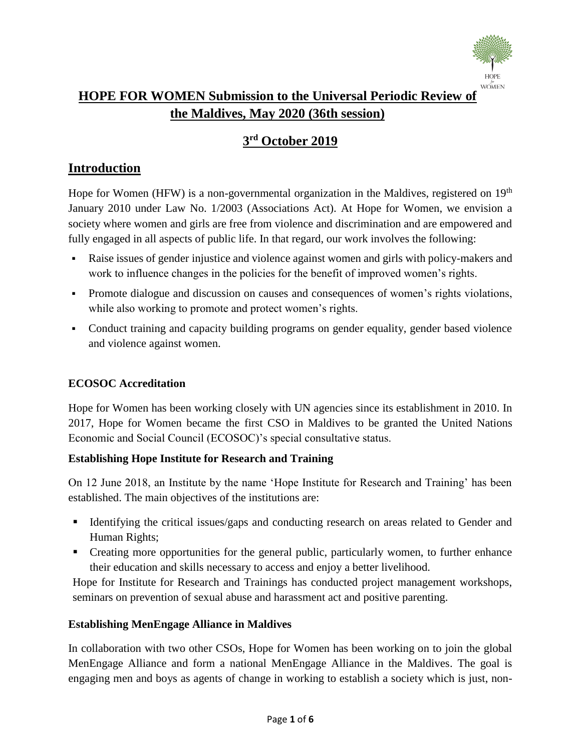

# **HOPE FOR WOMEN Submission to the Universal Periodic Review of the Maldives, May 2020 (36th session)**

# **3 rd October 2019**

# **Introduction**

Hope for Women (HFW) is a non-governmental organization in the Maldives, registered on 19<sup>th</sup> January 2010 under Law No. 1/2003 (Associations Act). At Hope for Women, we envision a society where women and girls are free from violence and discrimination and are empowered and fully engaged in all aspects of public life. In that regard, our work involves the following:

- Raise issues of gender injustice and violence against women and girls with policy-makers and work to influence changes in the policies for the benefit of improved women's rights.
- Promote dialogue and discussion on causes and consequences of women's rights violations, while also working to promote and protect women's rights.
- Conduct training and capacity building programs on gender equality, gender based violence and violence against women.

## **ECOSOC Accreditation**

Hope for Women has been working closely with UN agencies since its establishment in 2010. In 2017, Hope for Women became the first CSO in Maldives to be granted the United Nations Economic and Social Council (ECOSOC)'s special consultative status.

## **Establishing Hope Institute for Research and Training**

On 12 June 2018, an Institute by the name 'Hope Institute for Research and Training' has been established. The main objectives of the institutions are:

- Identifying the critical issues/gaps and conducting research on areas related to Gender and Human Rights;
- Creating more opportunities for the general public, particularly women, to further enhance their education and skills necessary to access and enjoy a better livelihood.

Hope for Institute for Research and Trainings has conducted project management workshops, seminars on prevention of sexual abuse and harassment act and positive parenting.

## **Establishing MenEngage Alliance in Maldives**

In collaboration with two other CSOs, Hope for Women has been working on to join the global MenEngage Alliance and form a national MenEngage Alliance in the Maldives. The goal is engaging men and boys as agents of change in working to establish a society which is just, non-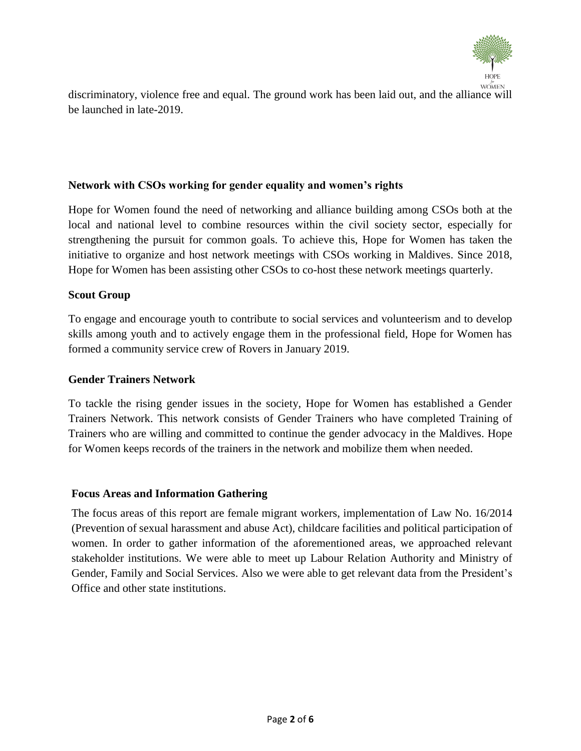

discriminatory, violence free and equal. The ground work has been laid out, and the alliance will be launched in late-2019.

#### **Network with CSOs working for gender equality and women's rights**

Hope for Women found the need of networking and alliance building among CSOs both at the local and national level to combine resources within the civil society sector, especially for strengthening the pursuit for common goals. To achieve this, Hope for Women has taken the initiative to organize and host network meetings with CSOs working in Maldives. Since 2018, Hope for Women has been assisting other CSOs to co-host these network meetings quarterly.

#### **Scout Group**

To engage and encourage youth to contribute to social services and volunteerism and to develop skills among youth and to actively engage them in the professional field, Hope for Women has formed a community service crew of Rovers in January 2019.

#### **Gender Trainers Network**

To tackle the rising gender issues in the society, Hope for Women has established a Gender Trainers Network. This network consists of Gender Trainers who have completed Training of Trainers who are willing and committed to continue the gender advocacy in the Maldives. Hope for Women keeps records of the trainers in the network and mobilize them when needed.

#### **Focus Areas and Information Gathering**

The focus areas of this report are female migrant workers, implementation of Law No. 16/2014 (Prevention of sexual harassment and abuse Act), childcare facilities and political participation of women. In order to gather information of the aforementioned areas, we approached relevant stakeholder institutions. We were able to meet up Labour Relation Authority and Ministry of Gender, Family and Social Services. Also we were able to get relevant data from the President's Office and other state institutions.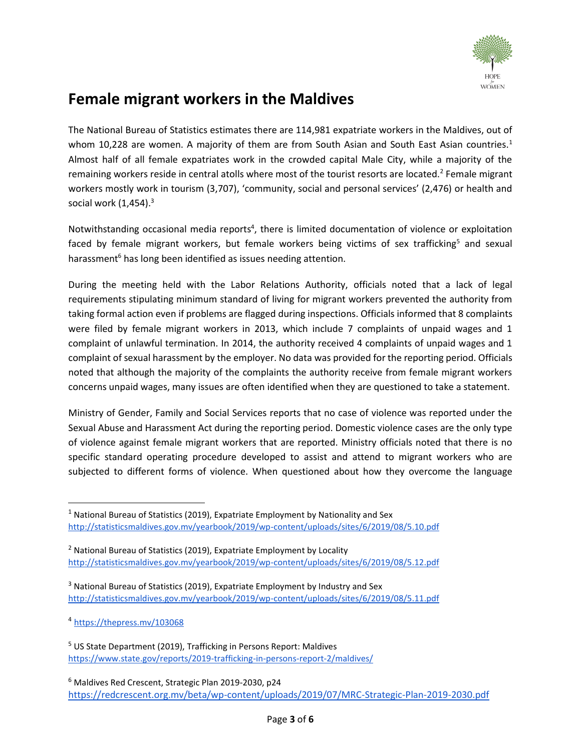

# **Female migrant workers in the Maldives**

The National Bureau of Statistics estimates there are 114,981 expatriate workers in the Maldives, out of whom 10,228 are women. A majority of them are from South Asian and South East Asian countries.<sup>1</sup> Almost half of all female expatriates work in the crowded capital Male City, while a majority of the remaining workers reside in central atolls where most of the tourist resorts are located.<sup>2</sup> Female migrant workers mostly work in tourism (3,707), 'community, social and personal services' (2,476) or health and social work  $(1,454).$ <sup>3</sup>

Notwithstanding occasional media reports<sup>4</sup>, there is limited documentation of violence or exploitation faced by female migrant workers, but female workers being victims of sex trafficking<sup>5</sup> and sexual harassment<sup>6</sup> has long been identified as issues needing attention.

During the meeting held with the Labor Relations Authority, officials noted that a lack of legal requirements stipulating minimum standard of living for migrant workers prevented the authority from taking formal action even if problems are flagged during inspections. Officials informed that 8 complaints were filed by female migrant workers in 2013, which include 7 complaints of unpaid wages and 1 complaint of unlawful termination. In 2014, the authority received 4 complaints of unpaid wages and 1 complaint of sexual harassment by the employer. No data was provided for the reporting period. Officials noted that although the majority of the complaints the authority receive from female migrant workers concerns unpaid wages, many issues are often identified when they are questioned to take a statement.

Ministry of Gender, Family and Social Services reports that no case of violence was reported under the Sexual Abuse and Harassment Act during the reporting period. Domestic violence cases are the only type of violence against female migrant workers that are reported. Ministry officials noted that there is no specific standard operating procedure developed to assist and attend to migrant workers who are subjected to different forms of violence. When questioned about how they overcome the language

- $2$  National Bureau of Statistics (2019), Expatriate Employment by Locality <http://statisticsmaldives.gov.mv/yearbook/2019/wp-content/uploads/sites/6/2019/08/5.12.pdf>
- <sup>3</sup> National Bureau of Statistics (2019), Expatriate Employment by Industry and Sex <http://statisticsmaldives.gov.mv/yearbook/2019/wp-content/uploads/sites/6/2019/08/5.11.pdf>

<sup>4</sup> [https://thepress.mv/103068](https://thepress.mv/103068?utm_source=share&utm_medium=facebook)

 $\overline{\phantom{a}}$ 

 $1$  National Bureau of Statistics (2019), Expatriate Employment by Nationality and Sex <http://statisticsmaldives.gov.mv/yearbook/2019/wp-content/uploads/sites/6/2019/08/5.10.pdf>

<sup>5</sup> US State Department (2019), Trafficking in Persons Report: Maldives <https://www.state.gov/reports/2019-trafficking-in-persons-report-2/maldives/>

<sup>6</sup> Maldives Red Crescent, Strategic Plan 2019-2030, p24 <https://redcrescent.org.mv/beta/wp-content/uploads/2019/07/MRC-Strategic-Plan-2019-2030.pdf>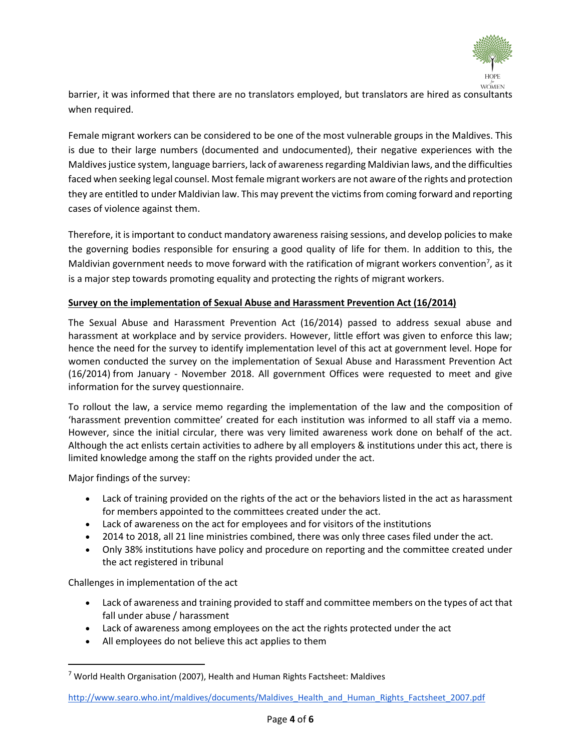

barrier, it was informed that there are no translators employed, but translators are hired as consultants when required.

Female migrant workers can be considered to be one of the most vulnerable groups in the Maldives. This is due to their large numbers (documented and undocumented), their negative experiences with the Maldives justice system, language barriers, lack of awareness regarding Maldivian laws, and the difficulties faced when seeking legal counsel. Most female migrant workers are not aware of the rights and protection they are entitled to under Maldivian law. This may prevent the victims from coming forward and reporting cases of violence against them.

Therefore, it is important to conduct mandatory awareness raising sessions, and develop policies to make the governing bodies responsible for ensuring a good quality of life for them. In addition to this, the Maldivian government needs to move forward with the ratification of migrant workers convention<sup>7</sup>, as it is a major step towards promoting equality and protecting the rights of migrant workers.

#### **Survey on the implementation of Sexual Abuse and Harassment Prevention Act (16/2014)**

The Sexual Abuse and Harassment Prevention Act (16/2014) passed to address sexual abuse and harassment at workplace and by service providers. However, little effort was given to enforce this law; hence the need for the survey to identify implementation level of this act at government level. Hope for women conducted the survey on the implementation of Sexual Abuse and Harassment Prevention Act (16/2014) from January - November 2018. All government Offices were requested to meet and give information for the survey questionnaire.

To rollout the law, a service memo regarding the implementation of the law and the composition of 'harassment prevention committee' created for each institution was informed to all staff via a memo. However, since the initial circular, there was very limited awareness work done on behalf of the act. Although the act enlists certain activities to adhere by all employers & institutions under this act, there is limited knowledge among the staff on the rights provided under the act.

Major findings of the survey:

 $\overline{a}$ 

- Lack of training provided on the rights of the act or the behaviors listed in the act as harassment for members appointed to the committees created under the act.
- Lack of awareness on the act for employees and for visitors of the institutions
- 2014 to 2018, all 21 line ministries combined, there was only three cases filed under the act.
- Only 38% institutions have policy and procedure on reporting and the committee created under the act registered in tribunal

Challenges in implementation of the act

- Lack of awareness and training provided to staff and committee members on the types of act that fall under abuse / harassment
- Lack of awareness among employees on the act the rights protected under the act
- All employees do not believe this act applies to them

 $<sup>7</sup>$  World Health Organisation (2007), Health and Human Rights Factsheet: Maldives</sup>

[http://www.searo.who.int/maldives/documents/Maldives\\_Health\\_and\\_Human\\_Rights\\_Factsheet\\_2007.pdf](http://www.searo.who.int/maldives/documents/Maldives_Health_and_Human_Rights_Factsheet_2007.pdf)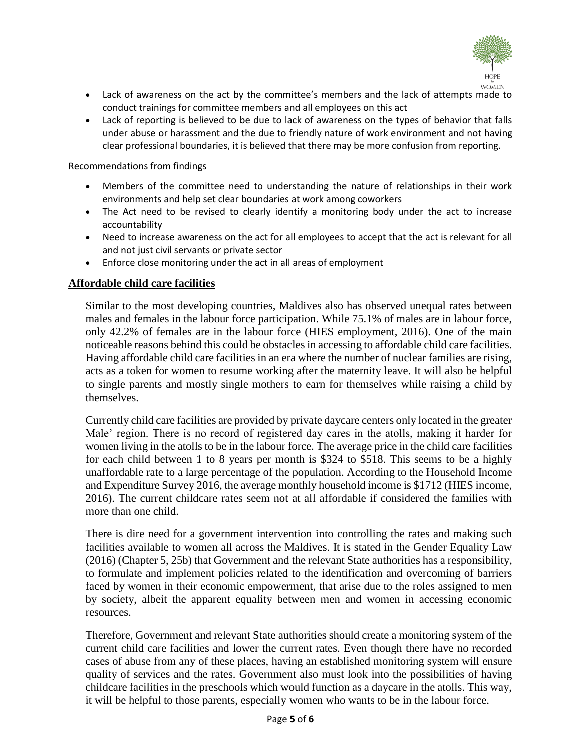

- Lack of awareness on the act by the committee's members and the lack of attempts made to conduct trainings for committee members and all employees on this act
- Lack of reporting is believed to be due to lack of awareness on the types of behavior that falls under abuse or harassment and the due to friendly nature of work environment and not having clear professional boundaries, it is believed that there may be more confusion from reporting.

Recommendations from findings

- Members of the committee need to understanding the nature of relationships in their work environments and help set clear boundaries at work among coworkers
- The Act need to be revised to clearly identify a monitoring body under the act to increase accountability
- Need to increase awareness on the act for all employees to accept that the act is relevant for all and not just civil servants or private sector
- Enforce close monitoring under the act in all areas of employment

#### **Affordable child care facilities**

Similar to the most developing countries, Maldives also has observed unequal rates between males and females in the labour force participation. While 75.1% of males are in labour force, only 42.2% of females are in the labour force (HIES employment, 2016). One of the main noticeable reasons behind this could be obstacles in accessing to affordable child care facilities. Having affordable child care facilities in an era where the number of nuclear families are rising, acts as a token for women to resume working after the maternity leave. It will also be helpful to single parents and mostly single mothers to earn for themselves while raising a child by themselves.

Currently child care facilities are provided by private daycare centers only located in the greater Male' region. There is no record of registered day cares in the atolls, making it harder for women living in the atolls to be in the labour force. The average price in the child care facilities for each child between 1 to 8 years per month is \$324 to \$518. This seems to be a highly unaffordable rate to a large percentage of the population. According to the Household Income and Expenditure Survey 2016, the average monthly household income is \$1712 (HIES income, 2016). The current childcare rates seem not at all affordable if considered the families with more than one child.

There is dire need for a government intervention into controlling the rates and making such facilities available to women all across the Maldives. It is stated in the Gender Equality Law (2016) (Chapter 5, 25b) that Government and the relevant State authorities has a responsibility, to formulate and implement policies related to the identification and overcoming of barriers faced by women in their economic empowerment, that arise due to the roles assigned to men by society, albeit the apparent equality between men and women in accessing economic resources.

Therefore, Government and relevant State authorities should create a monitoring system of the current child care facilities and lower the current rates. Even though there have no recorded cases of abuse from any of these places, having an established monitoring system will ensure quality of services and the rates. Government also must look into the possibilities of having childcare facilities in the preschools which would function as a daycare in the atolls. This way, it will be helpful to those parents, especially women who wants to be in the labour force.